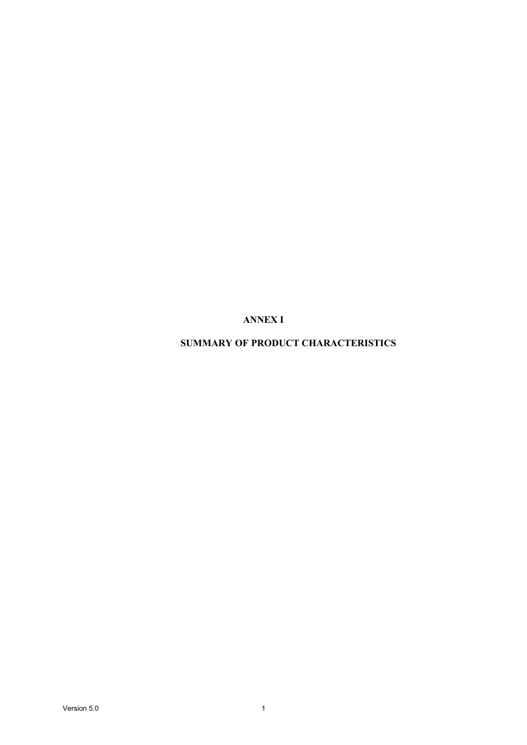# **ANNEX I**

# **SUMMARY OF PRODUCT CHARACTERISTICS**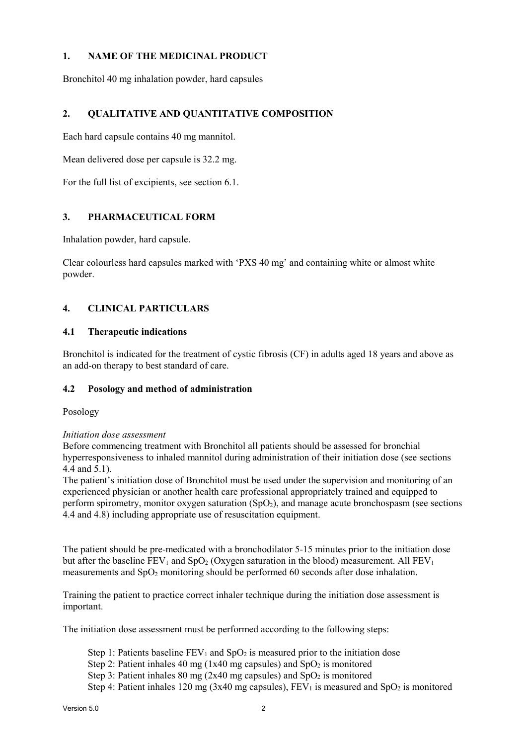## **1. NAME OF THE MEDICINAL PRODUCT**

Bronchitol 40 mg inhalation powder, hard capsules

# **2. QUALITATIVE AND QUANTITATIVE COMPOSITION**

Each hard capsule contains 40 mg mannitol.

Mean delivered dose per capsule is 32.2 mg.

For the full list of excipients, see section 6.1.

## **3. PHARMACEUTICAL FORM**

Inhalation powder, hard capsule.

Clear colourless hard capsules marked with 'PXS 40 mg' and containing white or almost white powder.

# **4. CLINICAL PARTICULARS**

## **4.1 Therapeutic indications**

Bronchitol is indicated for the treatment of cystic fibrosis (CF) in adults aged 18 years and above as an add-on therapy to best standard of care.

## **4.2 Posology and method of administration**

Posology

### *Initiation dose assessment*

Before commencing treatment with Bronchitol all patients should be assessed for bronchial hyperresponsiveness to inhaled mannitol during administration of their initiation dose (see sections 4.4 and 5.1).

The patient's initiation dose of Bronchitol must be used under the supervision and monitoring of an experienced physician or another health care professional appropriately trained and equipped to perform spirometry, monitor oxygen saturation  $(SpO<sub>2</sub>)$ , and manage acute bronchospasm (see sections 4.4 and 4.8) including appropriate use of resuscitation equipment.

The patient should be pre-medicated with a bronchodilator 5-15 minutes prior to the initiation dose but after the baseline  $FEV_1$  and  $SpO_2$  (Oxygen saturation in the blood) measurement. All  $FEV_1$ measurements and SpO<sub>2</sub> monitoring should be performed 60 seconds after dose inhalation.

Training the patient to practice correct inhaler technique during the initiation dose assessment is important.

The initiation dose assessment must be performed according to the following steps:

- Step 1: Patients baseline  $FEV_1$  and  $SpO_2$  is measured prior to the initiation dose
- Step 2: Patient inhales 40 mg (1x40 mg capsules) and  $SpO<sub>2</sub>$  is monitored
- Step 3: Patient inhales 80 mg (2x40 mg capsules) and  $SpO<sub>2</sub>$  is monitored

Step 4: Patient inhales 120 mg (3x40 mg capsules),  $FEV<sub>1</sub>$  is measured and SpO<sub>2</sub> is monitored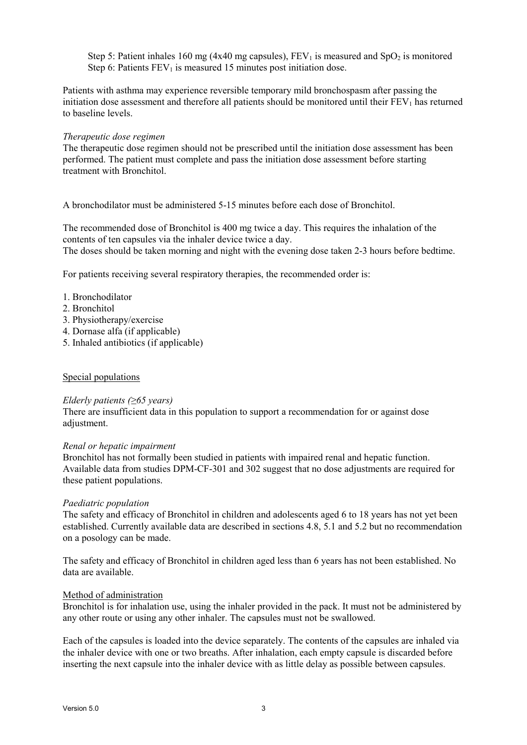Step 5: Patient inhales 160 mg (4x40 mg capsules),  $FEV<sub>1</sub>$  is measured and SpO<sub>2</sub> is monitored Step 6: Patients  $FEV<sub>1</sub>$  is measured 15 minutes post initiation dose.

Patients with asthma may experience reversible temporary mild bronchospasm after passing the initiation dose assessment and therefore all patients should be monitored until their  $FEV<sub>1</sub>$  has returned to baseline levels.

#### *Therapeutic dose regimen*

The therapeutic dose regimen should not be prescribed until the initiation dose assessment has been performed. The patient must complete and pass the initiation dose assessment before starting treatment with Bronchitol.

A bronchodilator must be administered 5-15 minutes before each dose of Bronchitol.

The recommended dose of Bronchitol is 400 mg twice a day. This requires the inhalation of the contents of ten capsules via the inhaler device twice a day. The doses should be taken morning and night with the evening dose taken 2-3 hours before bedtime.

For patients receiving several respiratory therapies, the recommended order is:

- 1. Bronchodilator
- 2. Bronchitol
- 3. Physiotherapy/exercise
- 4. Dornase alfa (if applicable)
- 5. Inhaled antibiotics (if applicable)

#### Special populations

#### *Elderly patients (≥65 years)*

There are insufficient data in this population to support a recommendation for or against dose adjustment.

#### *Renal or hepatic impairment*

Bronchitol has not formally been studied in patients with impaired renal and hepatic function. Available data from studies DPM-CF-301 and 302 suggest that no dose adjustments are required for these patient populations.

#### *Paediatric population*

The safety and efficacy of Bronchitol in children and adolescents aged 6 to 18 years has not yet been established. Currently available data are described in sections 4.8, 5.1 and 5.2 but no recommendation on a posology can be made.

The safety and efficacy of Bronchitol in children aged less than 6 years has not been established. No data are available.

#### Method of administration

Bronchitol is for inhalation use, using the inhaler provided in the pack. It must not be administered by any other route or using any other inhaler. The capsules must not be swallowed.

Each of the capsules is loaded into the device separately. The contents of the capsules are inhaled via the inhaler device with one or two breaths. After inhalation, each empty capsule is discarded before inserting the next capsule into the inhaler device with as little delay as possible between capsules.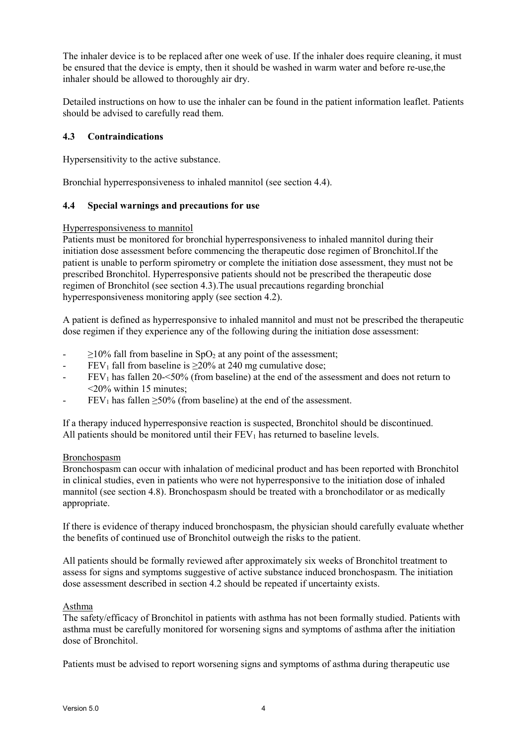The inhaler device is to be replaced after one week of use. If the inhaler does require cleaning, it must be ensured that the device is empty, then it should be washed in warm water and before re-use,the inhaler should be allowed to thoroughly air dry.

Detailed instructions on how to use the inhaler can be found in the patient information leaflet. Patients should be advised to carefully read them.

## **4.3 Contraindications**

Hypersensitivity to the active substance.

Bronchial hyperresponsiveness to inhaled mannitol (see section 4.4).

## **4.4 Special warnings and precautions for use**

### Hyperresponsiveness to mannitol

Patients must be monitored for bronchial hyperresponsiveness to inhaled mannitol during their initiation dose assessment before commencing the therapeutic dose regimen of Bronchitol.If the patient is unable to perform spirometry or complete the initiation dose assessment, they must not be prescribed Bronchitol. Hyperresponsive patients should not be prescribed the therapeutic dose regimen of Bronchitol (see section 4.3).The usual precautions regarding bronchial hyperresponsiveness monitoring apply (see section 4.2).

A patient is defined as hyperresponsive to inhaled mannitol and must not be prescribed the therapeutic dose regimen if they experience any of the following during the initiation dose assessment:

- $\geq$ 10% fall from baseline in SpO<sub>2</sub> at any point of the assessment;
- FEV<sub>1</sub> fall from baseline is  $\geq$ 20% at 240 mg cumulative dose;
- $FEV<sub>1</sub>$  has fallen 20- $\leq$ 50% (from baseline) at the end of the assessment and does not return to <20% within 15 minutes;
- $FEV<sub>1</sub>$  has fallen  $\geq$ 50% (from baseline) at the end of the assessment.

If a therapy induced hyperresponsive reaction is suspected, Bronchitol should be discontinued. All patients should be monitored until their  $FEV<sub>1</sub>$  has returned to baseline levels.

### Bronchospasm

Bronchospasm can occur with inhalation of medicinal product and has been reported with Bronchitol in clinical studies, even in patients who were not hyperresponsive to the initiation dose of inhaled mannitol (see section 4.8). Bronchospasm should be treated with a bronchodilator or as medically appropriate.

If there is evidence of therapy induced bronchospasm, the physician should carefully evaluate whether the benefits of continued use of Bronchitol outweigh the risks to the patient.

All patients should be formally reviewed after approximately six weeks of Bronchitol treatment to assess for signs and symptoms suggestive of active substance induced bronchospasm. The initiation dose assessment described in section 4.2 should be repeated if uncertainty exists.

### Asthma

The safety/efficacy of Bronchitol in patients with asthma has not been formally studied. Patients with asthma must be carefully monitored for worsening signs and symptoms of asthma after the initiation dose of Bronchitol.

Patients must be advised to report worsening signs and symptoms of asthma during therapeutic use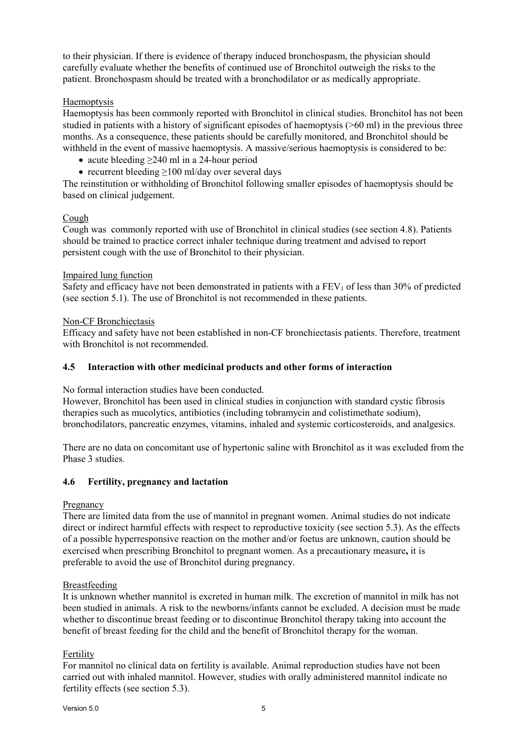to their physician. If there is evidence of therapy induced bronchospasm, the physician should carefully evaluate whether the benefits of continued use of Bronchitol outweigh the risks to the patient. Bronchospasm should be treated with a bronchodilator or as medically appropriate.

## Haemoptysis

Haemoptysis has been commonly reported with Bronchitol in clinical studies. Bronchitol has not been studied in patients with a history of significant episodes of haemoptysis (>60 ml) in the previous three months. As a consequence, these patients should be carefully monitored, and Bronchitol should be withheld in the event of massive haemoptysis. A massive/serious haemoptysis is considered to be:

- acute bleeding  $\geq$  240 ml in a 24-hour period
- recurrent bleeding  $\geq$ 100 ml/day over several days

The reinstitution or withholding of Bronchitol following smaller episodes of haemoptysis should be based on clinical judgement.

## Cough

Cough was commonly reported with use of Bronchitol in clinical studies (see section 4.8). Patients should be trained to practice correct inhaler technique during treatment and advised to report persistent cough with the use of Bronchitol to their physician.

### Impaired lung function

Safety and efficacy have not been demonstrated in patients with a  $FEV<sub>1</sub>$  of less than 30% of predicted (see section 5.1). The use of Bronchitol is not recommended in these patients.

## Non-CF Bronchiectasis

Efficacy and safety have not been established in non-CF bronchiectasis patients. Therefore, treatment with Bronchitol is not recommended.

## **4.5 Interaction with other medicinal products and other forms of interaction**

No formal interaction studies have been conducted.

However, Bronchitol has been used in clinical studies in conjunction with standard cystic fibrosis therapies such as mucolytics, antibiotics (including tobramycin and colistimethate sodium), bronchodilators, pancreatic enzymes, vitamins, inhaled and systemic corticosteroids, and analgesics.

There are no data on concomitant use of hypertonic saline with Bronchitol as it was excluded from the Phase 3 studies.

## **4.6 Fertility, pregnancy and lactation**

### Pregnancy

There are limited data from the use of mannitol in pregnant women. Animal studies do not indicate direct or indirect harmful effects with respect to reproductive toxicity (see section 5.3). As the effects of a possible hyperresponsive reaction on the mother and/or foetus are unknown, caution should be exercised when prescribing Bronchitol to pregnant women. As a precautionary measure**,** it is preferable to avoid the use of Bronchitol during pregnancy.

### Breastfeeding

It is unknown whether mannitol is excreted in human milk. The excretion of mannitol in milk has not been studied in animals. A risk to the newborns/infants cannot be excluded. A decision must be made whether to discontinue breast feeding or to discontinue Bronchitol therapy taking into account the benefit of breast feeding for the child and the benefit of Bronchitol therapy for the woman.

## Fertility

For mannitol no clinical data on fertility is available. Animal reproduction studies have not been carried out with inhaled mannitol. However, studies with orally administered mannitol indicate no fertility effects (see section 5.3).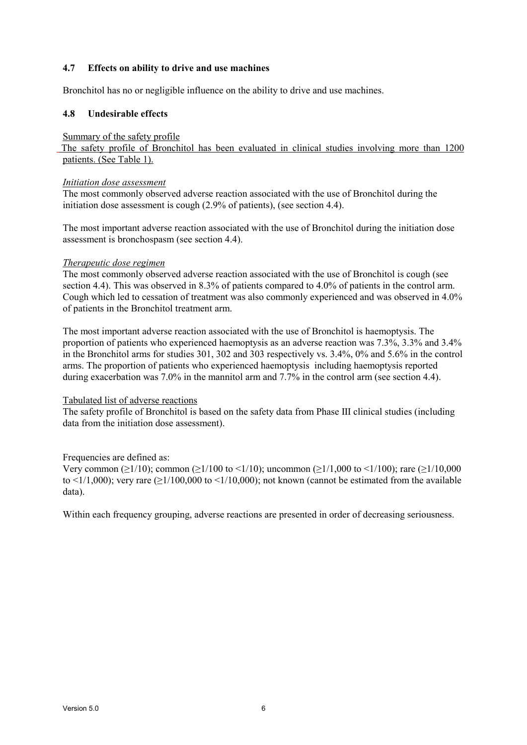## **4.7 Effects on ability to drive and use machines**

Bronchitol has no or negligible influence on the ability to drive and use machines.

## **4.8 Undesirable effects**

### Summary of the safety profile

The safety profile of Bronchitol has been evaluated in clinical studies involving more than 1200 patients. (See Table 1).

### *Initiation dose assessment*

The most commonly observed adverse reaction associated with the use of Bronchitol during the initiation dose assessment is cough (2.9% of patients), (see section 4.4).

The most important adverse reaction associated with the use of Bronchitol during the initiation dose assessment is bronchospasm (see section 4.4).

## *Therapeutic dose regimen*

The most commonly observed adverse reaction associated with the use of Bronchitol is cough (see section 4.4). This was observed in 8.3% of patients compared to 4.0% of patients in the control arm. Cough which led to cessation of treatment was also commonly experienced and was observed in 4.0% of patients in the Bronchitol treatment arm.

The most important adverse reaction associated with the use of Bronchitol is haemoptysis. The proportion of patients who experienced haemoptysis as an adverse reaction was 7.3%, 3.3% and 3.4% in the Bronchitol arms for studies 301, 302 and 303 respectively vs. 3.4%, 0% and 5.6% in the control arms. The proportion of patients who experienced haemoptysis including haemoptysis reported during exacerbation was 7.0% in the mannitol arm and 7.7% in the control arm (see section 4.4).

### Tabulated list of adverse reactions

The safety profile of Bronchitol is based on the safety data from Phase III clinical studies (including data from the initiation dose assessment).

## Frequencies are defined as:

Very common ( $\geq$ 1/10); common ( $\geq$ 1/100 to <1/10); uncommon ( $\geq$ 1/1,000 to <1/100); rare ( $\geq$ 1/10,000 to  $\leq 1/1,000$ ; very rare ( $\geq 1/100,000$  to  $\leq 1/10,000$ ); not known (cannot be estimated from the available data).

Within each frequency grouping, adverse reactions are presented in order of decreasing seriousness.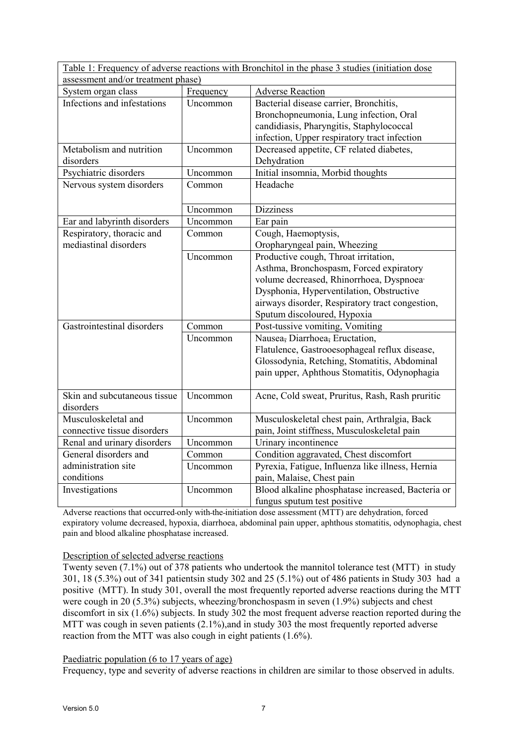| Table 1: Frequency of adverse reactions with Bronchitol in the phase 3 studies (initiation dose)<br>assessment and/or treatment phase) |           |                                                      |  |  |  |
|----------------------------------------------------------------------------------------------------------------------------------------|-----------|------------------------------------------------------|--|--|--|
| System organ class                                                                                                                     | Frequency | <b>Adverse Reaction</b>                              |  |  |  |
| Infections and infestations                                                                                                            | Uncommon  | Bacterial disease carrier, Bronchitis,               |  |  |  |
|                                                                                                                                        |           | Bronchopneumonia, Lung infection, Oral               |  |  |  |
|                                                                                                                                        |           | candidiasis, Pharyngitis, Staphylococcal             |  |  |  |
|                                                                                                                                        |           | infection, Upper respiratory tract infection         |  |  |  |
| Metabolism and nutrition                                                                                                               | Uncommon  | Decreased appetite, CF related diabetes,             |  |  |  |
| disorders                                                                                                                              |           | Dehydration                                          |  |  |  |
| Psychiatric disorders                                                                                                                  | Uncommon  | Initial insomnia, Morbid thoughts                    |  |  |  |
| Nervous system disorders                                                                                                               | Common    | Headache                                             |  |  |  |
|                                                                                                                                        |           |                                                      |  |  |  |
|                                                                                                                                        | Uncommon  | <b>Dizziness</b>                                     |  |  |  |
| Ear and labyrinth disorders                                                                                                            | Uncommon  | Ear pain                                             |  |  |  |
| Respiratory, thoracic and                                                                                                              | Common    | Cough, Haemoptysis,                                  |  |  |  |
| mediastinal disorders                                                                                                                  |           | Oropharyngeal pain, Wheezing                         |  |  |  |
|                                                                                                                                        | Uncommon  | Productive cough, Throat irritation,                 |  |  |  |
|                                                                                                                                        |           | Asthma, Bronchospasm, Forced expiratory              |  |  |  |
|                                                                                                                                        |           | volume decreased, Rhinorrhoea, Dyspnoea <sup>,</sup> |  |  |  |
|                                                                                                                                        |           | Dysphonia, Hyperventilation, Obstructive             |  |  |  |
|                                                                                                                                        |           | airways disorder, Respiratory tract congestion,      |  |  |  |
|                                                                                                                                        |           | Sputum discoloured, Hypoxia                          |  |  |  |
| Gastrointestinal disorders                                                                                                             | Common    | Post-tussive vomiting, Vomiting                      |  |  |  |
|                                                                                                                                        | Uncommon  | Nausea, Diarrhoea, Eructation,                       |  |  |  |
|                                                                                                                                        |           | Flatulence, Gastrooesophageal reflux disease,        |  |  |  |
|                                                                                                                                        |           | Glossodynia, Retching, Stomatitis, Abdominal         |  |  |  |
|                                                                                                                                        |           | pain upper, Aphthous Stomatitis, Odynophagia         |  |  |  |
|                                                                                                                                        |           |                                                      |  |  |  |
| Skin and subcutaneous tissue                                                                                                           | Uncommon  | Acne, Cold sweat, Pruritus, Rash, Rash pruritic      |  |  |  |
| disorders<br>Musculoskeletal and                                                                                                       |           |                                                      |  |  |  |
|                                                                                                                                        | Uncommon  | Musculoskeletal chest pain, Arthralgia, Back         |  |  |  |
| connective tissue disorders                                                                                                            |           | pain, Joint stiffness, Musculoskeletal pain          |  |  |  |
| Renal and urinary disorders                                                                                                            | Uncommon  | Urinary incontinence                                 |  |  |  |
| General disorders and<br>administration site                                                                                           | Common    | Condition aggravated, Chest discomfort               |  |  |  |
| conditions                                                                                                                             | Uncommon  | Pyrexia, Fatigue, Influenza like illness, Hernia     |  |  |  |
|                                                                                                                                        |           | pain, Malaise, Chest pain                            |  |  |  |
| Investigations                                                                                                                         | Uncommon  | Blood alkaline phosphatase increased, Bacteria or    |  |  |  |
|                                                                                                                                        |           | fungus sputum test positive                          |  |  |  |

Adverse reactions that occurred only with the initiation dose assessment (MTT) are dehydration, forced expiratory volume decreased, hypoxia, diarrhoea, abdominal pain upper, aphthous stomatitis, odynophagia, chest pain and blood alkaline phosphatase increased.

### Description of selected adverse reactions

Twenty seven (7.1%) out of 378 patients who undertook the mannitol tolerance test (MTT) in study 301, 18 (5.3%) out of 341 patientsin study 302 and 25 (5.1%) out of 486 patients in Study 303 had a positive (MTT). In study 301, overall the most frequently reported adverse reactions during the MTT were cough in 20 (5.3%) subjects, wheezing/bronchospasm in seven (1.9%) subjects and chest discomfort in six (1.6%) subjects. In study 302 the most frequent adverse reaction reported during the MTT was cough in seven patients (2.1%), and in study 303 the most frequently reported adverse reaction from the MTT was also cough in eight patients (1.6%).

### Paediatric population (6 to 17 years of age)

Frequency, type and severity of adverse reactions in children are similar to those observed in adults.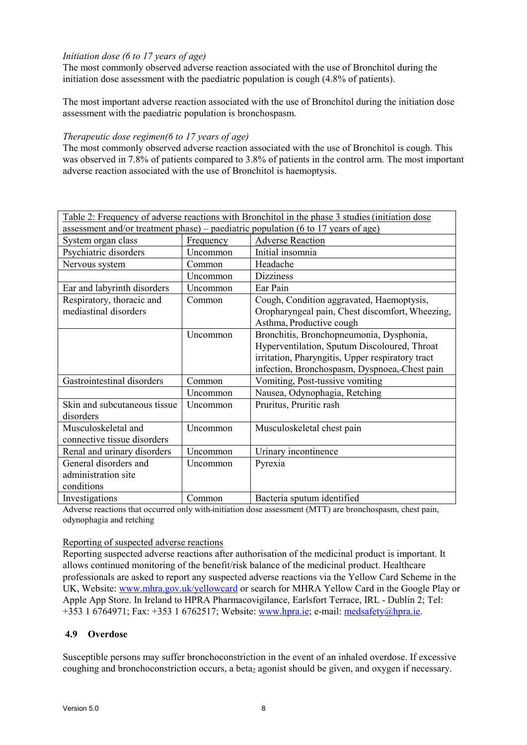## *Initiation dose (6 to 17 years of age)*

The most commonly observed adverse reaction associated with the use of Bronchitol during the initiation dose assessment with the paediatric population is cough (4.8% of patients).

The most important adverse reaction associated with the use of Bronchitol during the initiation dose assessment with the paediatric population is bronchospasm.

### *Therapeutic dose regimen(6 to 17 years of age)*

The most commonly observed adverse reaction associated with the use of Bronchitol is cough. This was observed in 7.8% of patients compared to 3.8% of patients in the control arm. The most important adverse reaction associated with the use of Bronchitol is haemoptysis.

|                                                                                   |           | Table 2: Frequency of adverse reactions with Bronchitol in the phase 3 studies (initiation dose |  |  |  |  |
|-----------------------------------------------------------------------------------|-----------|-------------------------------------------------------------------------------------------------|--|--|--|--|
| assessment and/or treatment phase) – paediatric population (6 to 17 years of age) |           |                                                                                                 |  |  |  |  |
| System organ class                                                                | Frequency | <b>Adverse Reaction</b>                                                                         |  |  |  |  |
| Psychiatric disorders                                                             | Uncommon  | Initial insomnia                                                                                |  |  |  |  |
| Nervous system                                                                    | Common    | Headache                                                                                        |  |  |  |  |
|                                                                                   | Uncommon  | <b>Dizziness</b>                                                                                |  |  |  |  |
| Ear and labyrinth disorders                                                       | Uncommon  | Ear Pain                                                                                        |  |  |  |  |
| Respiratory, thoracic and                                                         | Common    | Cough, Condition aggravated, Haemoptysis,                                                       |  |  |  |  |
| mediastinal disorders                                                             |           | Oropharyngeal pain, Chest discomfort, Wheezing,                                                 |  |  |  |  |
|                                                                                   |           | Asthma, Productive cough                                                                        |  |  |  |  |
|                                                                                   | Uncommon  | Bronchitis, Bronchopneumonia, Dysphonia,                                                        |  |  |  |  |
|                                                                                   |           | Hyperventilation, Sputum Discoloured, Throat                                                    |  |  |  |  |
|                                                                                   |           | irritation, Pharyngitis, Upper respiratory tract                                                |  |  |  |  |
|                                                                                   |           | infection, Bronchospasm, Dyspnoea, Chest pain                                                   |  |  |  |  |
| Gastrointestinal disorders                                                        | Common    | Vomiting, Post-tussive vomiting                                                                 |  |  |  |  |
|                                                                                   | Uncommon  | Nausea, Odynophagia, Retching                                                                   |  |  |  |  |
| Skin and subcutaneous tissue                                                      | Uncommon  | Pruritus, Pruritic rash                                                                         |  |  |  |  |
| disorders                                                                         |           |                                                                                                 |  |  |  |  |
| Musculoskeletal and                                                               | Uncommon  | Musculoskeletal chest pain                                                                      |  |  |  |  |
| connective tissue disorders                                                       |           |                                                                                                 |  |  |  |  |
| Renal and urinary disorders                                                       | Uncommon  | Urinary incontinence                                                                            |  |  |  |  |
| General disorders and                                                             | Uncommon  | Pyrexia                                                                                         |  |  |  |  |
| administration site                                                               |           |                                                                                                 |  |  |  |  |
| conditions                                                                        |           |                                                                                                 |  |  |  |  |
| Investigations                                                                    | Common    | Bacteria sputum identified                                                                      |  |  |  |  |

Adverse reactions that occurred only with initiation dose assessment (MTT) are bronchospasm, chest pain, odynophagia and retching

### Reporting of suspected adverse reactions

Reporting suspected adverse reactions after authorisation of the medicinal product is important. It allows continued monitoring of the benefit/risk balance of the medicinal product. Healthcare professionals are asked to report any suspected adverse reactions via the Yellow Card Scheme in the UK, Website: [www.mhra.gov.uk/yellowcard](http://www.mhra.gov.uk/yellowcard) or search for MHRA Yellow Card in the Google Play or Apple App Store. In Ireland to HPRA Pharmacovigilance, Earlsfort Terrace, IRL - Dublin 2; Tel: +353 1 6764971; Fax: +353 1 6762517; Website: [www.hpra.ie;](http://www.hpra.ie/) e-mail: [medsafety@hpra.ie.](mailto:medsafety@hpra.ie)

## **4.9 Overdose**

Susceptible persons may suffer bronchoconstriction in the event of an inhaled overdose. If excessive coughing and bronchoconstriction occurs, a beta<sub>2</sub> agonist should be given, and oxygen if necessary.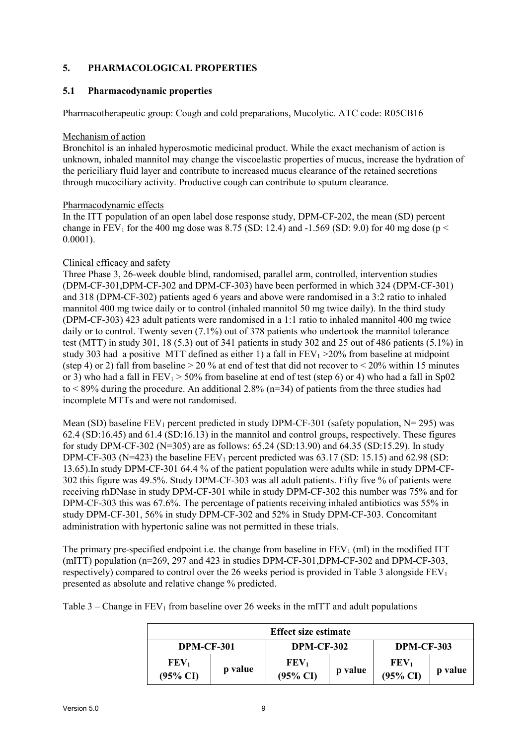# **5. PHARMACOLOGICAL PROPERTIES**

## **5.1 Pharmacodynamic properties**

Pharmacotherapeutic group: Cough and cold preparations, Mucolytic. ATC code: R05CB16

#### Mechanism of action

Bronchitol is an inhaled hyperosmotic medicinal product. While the exact mechanism of action is unknown, inhaled mannitol may change the viscoelastic properties of mucus, increase the hydration of the periciliary fluid layer and contribute to increased mucus clearance of the retained secretions through mucociliary activity. Productive cough can contribute to sputum clearance.

### Pharmacodynamic effects

In the ITT population of an open label dose response study, DPM-CF-202, the mean (SD) percent change in  $\overline{FEV}_1$  for the 400 mg dose was 8.75 (SD: 12.4) and -1.569 (SD: 9.0) for 40 mg dose (p < 0.0001).

### Clinical efficacy and safety

Three Phase 3, 26-week double blind, randomised, parallel arm, controlled, intervention studies (DPM-CF-301,DPM-CF-302 and DPM-CF-303) have been performed in which 324 (DPM-CF-301) and 318 (DPM-CF-302) patients aged 6 years and above were randomised in a 3:2 ratio to inhaled mannitol 400 mg twice daily or to control (inhaled mannitol 50 mg twice daily). In the third study (DPM-CF-303) 423 adult patients were randomised in a 1:1 ratio to inhaled mannitol 400 mg twice daily or to control. Twenty seven (7.1%) out of 378 patients who undertook the mannitol tolerance test (MTT) in study 301, 18 (5.3) out of 341 patients in study 302 and 25 out of 486 patients (5.1%) in study 303 had a positive MTT defined as either 1) a fall in  $FEV_1 > 20\%$  from baseline at midpoint (step 4) or 2) fall from baseline  $> 20\%$  at end of test that did not recover to  $\leq 20\%$  within 15 minutes or 3) who had a fall in  $FEV_1 > 50\%$  from baseline at end of test (step 6) or 4) who had a fall in Sp02 to  $\leq$  89% during the procedure. An additional 2.8% (n=34) of patients from the three studies had incomplete MTTs and were not randomised.

Mean (SD) baseline  $FEV_1$  percent predicted in study DPM-CF-301 (safety population,  $N= 295$ ) was 62.4 (SD:16.45) and 61.4 (SD:16.13) in the mannitol and control groups, respectively. These figures for study DPM-CF-302 (N=305) are as follows: 65.24 (SD:13.90) and 64.35 (SD:15.29). In study DPM-CF-303 (N=423) the baseline  $FEV_1$  percent predicted was 63.17 (SD: 15.15) and 62.98 (SD: 13.65).In study DPM-CF-301 64.4 % of the patient population were adults while in study DPM-CF-302 this figure was 49.5%. Study DPM-CF-303 was all adult patients. Fifty five % of patients were receiving rhDNase in study DPM-CF-301 while in study DPM-CF-302 this number was 75% and for DPM-CF-303 this was 67.6%. The percentage of patients receiving inhaled antibiotics was 55% in study DPM-CF-301, 56% in study DPM-CF-302 and 52% in Study DPM-CF-303. Concomitant administration with hypertonic saline was not permitted in these trials.

The primary pre-specified endpoint i.e. the change from baseline in  $FEV<sub>1</sub>$  (ml) in the modified ITT (mITT) population (n=269, 297 and 423 in studies DPM-CF-301,DPM-CF-302 and DPM-CF-303, respectively) compared to control over the 26 weeks period is provided in Table 3 alongside  $FEV<sub>1</sub>$ presented as absolute and relative change % predicted.

Table  $3$  – Change in FEV<sub>1</sub> from baseline over 26 weeks in the mITT and adult populations

| <b>Effect size estimate</b>             |         |                                         |         |                                         |         |  |  |
|-----------------------------------------|---------|-----------------------------------------|---------|-----------------------------------------|---------|--|--|
| <b>DPM-CF-301</b>                       |         | <b>DPM-CF-302</b>                       |         | <b>DPM-CF-303</b>                       |         |  |  |
| FEV <sub>1</sub><br>$(95\% \text{ CI})$ | p value | FEV <sub>1</sub><br>$(95\% \text{ CI})$ | p value | $\mathbf{FEV}_1$<br>$(95\% \text{ CI})$ | p value |  |  |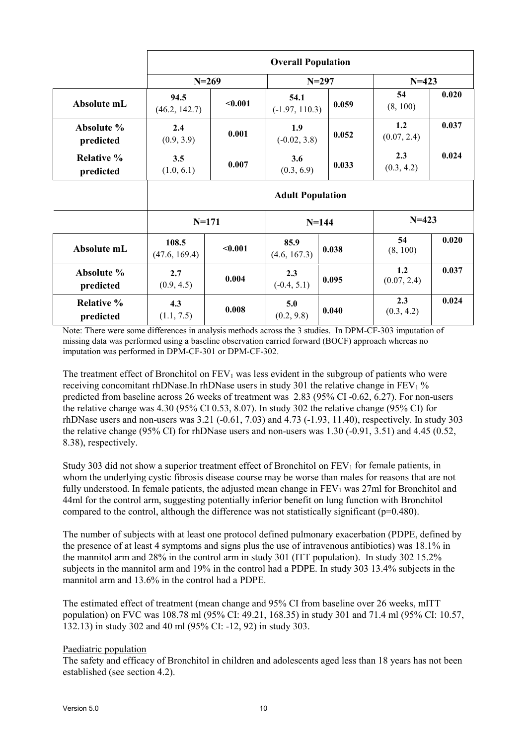|                                | <b>Overall Population</b> |         |                          |       |                    |       |  |  |
|--------------------------------|---------------------------|---------|--------------------------|-------|--------------------|-------|--|--|
|                                | $N = 269$                 |         | $N = 297$                |       | $N = 423$          |       |  |  |
| Absolute mL                    | 94.5<br>(46.2, 142.7)     | < 0.001 | 54.1<br>$(-1.97, 110.3)$ | 0.059 | 54<br>(8, 100)     | 0.020 |  |  |
| Absolute %<br>predicted        | 2.4<br>(0.9, 3.9)         | 0.001   | 1.9<br>$(-0.02, 3.8)$    | 0.052 | 1.2<br>(0.07, 2.4) | 0.037 |  |  |
| <b>Relative %</b><br>predicted | 3.5<br>(1.0, 6.1)         | 0.007   | 3.6<br>(0.3, 6.9)        | 0.033 | 2.3<br>(0.3, 4.2)  | 0.024 |  |  |
|                                | <b>Adult Population</b>   |         |                          |       |                    |       |  |  |
|                                | $N = 171$                 |         | $N = 144$                |       | $N = 423$          |       |  |  |
| Absolute mL                    | 108.5<br>(47.6, 169.4)    | < 0.001 | 85.9<br>(4.6, 167.3)     | 0.038 | 54<br>(8, 100)     | 0.020 |  |  |
| Absolute %<br>predicted        | 2.7<br>(0.9, 4.5)         | 0.004   | 2.3<br>$(-0.4, 5.1)$     | 0.095 | 1.2<br>(0.07, 2.4) | 0.037 |  |  |
| <b>Relative %</b><br>predicted | 4.3<br>(1.1, 7.5)         | 0.008   | 5.0<br>(0.2, 9.8)        | 0.040 | 2.3<br>(0.3, 4.2)  | 0.024 |  |  |

Note: There were some differences in analysis methods across the 3 studies. In DPM-CF-303 imputation of missing data was performed using a baseline observation carried forward (BOCF) approach whereas no imputation was performed in DPM-CF-301 or DPM-CF-302.

The treatment effect of Bronchitol on  $FEV<sub>1</sub>$  was less evident in the subgroup of patients who were receiving concomitant rhDNase.In rhDNase users in study 301 the relative change in  $FEV<sub>1</sub>$ % predicted from baseline across 26 weeks of treatment was 2.83 (95% CI -0.62, 6.27). For non-users the relative change was 4.30 (95% CI 0.53, 8.07). In study 302 the relative change (95% CI) for rhDNase users and non-users was 3.21 (-0.61, 7.03) and 4.73 (-1.93, 11.40), respectively. In study 303 the relative change (95% CI) for rhDNase users and non-users was 1.30 (-0.91, 3.51) and 4.45 (0.52, 8.38), respectively.

Study 303 did not show a superior treatment effect of Bronchitol on  $FEV<sub>1</sub>$  for female patients, in whom the underlying cystic fibrosis disease course may be worse than males for reasons that are not fully understood. In female patients, the adjusted mean change in  $FEV<sub>1</sub>$  was 27ml for Bronchitol and 44ml for the control arm, suggesting potentially inferior benefit on lung function with Bronchitol compared to the control, although the difference was not statistically significant ( $p=0.480$ ).

The number of subjects with at least one protocol defined pulmonary exacerbation (PDPE, defined by the presence of at least 4 symptoms and signs plus the use of intravenous antibiotics) was 18.1% in the mannitol arm and 28% in the control arm in study 301 (ITT population). In study 302 15.2% subjects in the mannitol arm and 19% in the control had a PDPE. In study 303 13.4% subjects in the mannitol arm and 13.6% in the control had a PDPE.

The estimated effect of treatment (mean change and 95% CI from baseline over 26 weeks, mITT population) on FVC was 108.78 ml (95% CI: 49.21, 168.35) in study 301 and 71.4 ml (95% CI: 10.57, 132.13) in study 302 and 40 ml (95% CI: -12, 92) in study 303.

### Paediatric population

The safety and efficacy of Bronchitol in children and adolescents aged less than 18 years has not been established (see section 4.2).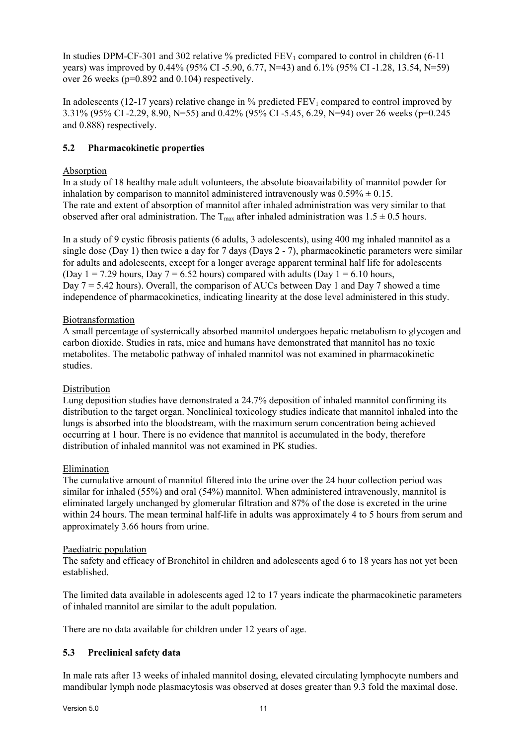In studies DPM-CF-301 and 302 relative % predicted  $FEV_1$  compared to control in children (6-11) years) was improved by 0.44% (95% CI -5.90, 6.77, N=43) and 6.1% (95% CI -1.28, 13.54, N=59) over 26 weeks (p=0.892 and 0.104) respectively.

In adolescents (12-17 years) relative change in  $\%$  predicted FEV<sub>1</sub> compared to control improved by 3.31% (95% CI -2.29, 8.90, N=55) and 0.42% (95% CI -5.45, 6.29, N=94) over 26 weeks (p=0.245 and 0.888) respectively.

# **5.2 Pharmacokinetic properties**

## Absorption

In a study of 18 healthy male adult volunteers, the absolute bioavailability of mannitol powder for inhalation by comparison to mannitol administered intravenously was  $0.59\% \pm 0.15$ . The rate and extent of absorption of mannitol after inhaled administration was very similar to that observed after oral administration. The  $T_{\text{max}}$  after inhaled administration was  $1.5 \pm 0.5$  hours.

In a study of 9 cystic fibrosis patients (6 adults, 3 adolescents), using 400 mg inhaled mannitol as a single dose (Day 1) then twice a day for 7 days (Days 2 - 7), pharmacokinetic parameters were similar for adults and adolescents, except for a longer average apparent terminal half life for adolescents (Day  $1 = 7.29$  hours, Day  $7 = 6.52$  hours) compared with adults (Day  $1 = 6.10$  hours, Day  $7 = 5.42$  hours). Overall, the comparison of AUCs between Day 1 and Day 7 showed a time independence of pharmacokinetics, indicating linearity at the dose level administered in this study.

## Biotransformation

A small percentage of systemically absorbed mannitol undergoes hepatic metabolism to glycogen and carbon dioxide. Studies in rats, mice and humans have demonstrated that mannitol has no toxic metabolites. The metabolic pathway of inhaled mannitol was not examined in pharmacokinetic studies.

## Distribution

Lung deposition studies have demonstrated a 24.7% deposition of inhaled mannitol confirming its distribution to the target organ. Nonclinical toxicology studies indicate that mannitol inhaled into the lungs is absorbed into the bloodstream, with the maximum serum concentration being achieved occurring at 1 hour. There is no evidence that mannitol is accumulated in the body, therefore distribution of inhaled mannitol was not examined in PK studies.

### Elimination

The cumulative amount of mannitol filtered into the urine over the 24 hour collection period was similar for inhaled (55%) and oral (54%) mannitol. When administered intravenously, mannitol is eliminated largely unchanged by glomerular filtration and 87% of the dose is excreted in the urine within 24 hours. The mean terminal half-life in adults was approximately 4 to 5 hours from serum and approximately 3.66 hours from urine.

### Paediatric population

The safety and efficacy of Bronchitol in children and adolescents aged 6 to 18 years has not yet been established.

The limited data available in adolescents aged 12 to 17 years indicate the pharmacokinetic parameters of inhaled mannitol are similar to the adult population.

There are no data available for children under 12 years of age.

## **5.3 Preclinical safety data**

In male rats after 13 weeks of inhaled mannitol dosing, elevated circulating lymphocyte numbers and mandibular lymph node plasmacytosis was observed at doses greater than 9.3 fold the maximal dose.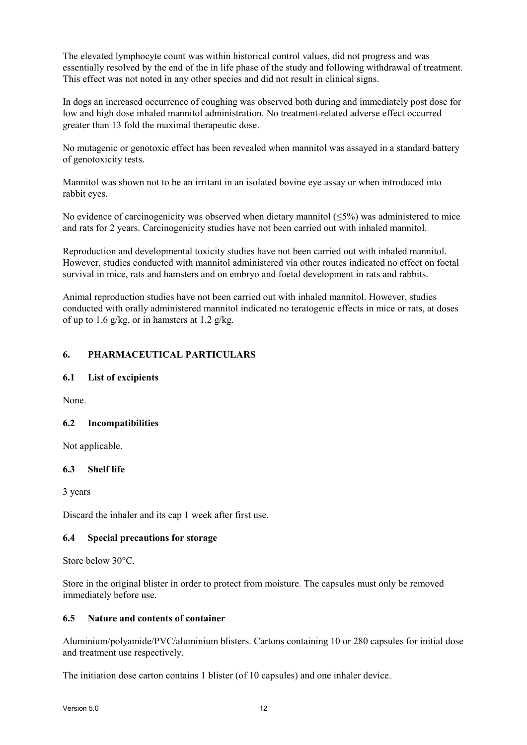The elevated lymphocyte count was within historical control values, did not progress and was essentially resolved by the end of the in life phase of the study and following withdrawal of treatment. This effect was not noted in any other species and did not result in clinical signs.

In dogs an increased occurrence of coughing was observed both during and immediately post dose for low and high dose inhaled mannitol administration. No treatment-related adverse effect occurred greater than 13 fold the maximal therapeutic dose.

No mutagenic or genotoxic effect has been revealed when mannitol was assayed in a standard battery of genotoxicity tests.

Mannitol was shown not to be an irritant in an isolated bovine eye assay or when introduced into rabbit eyes.

No evidence of carcinogenicity was observed when dietary mannitol  $(\leq 5\%)$  was administered to mice and rats for 2 years. Carcinogenicity studies have not been carried out with inhaled mannitol.

Reproduction and developmental toxicity studies have not been carried out with inhaled mannitol. However, studies conducted with mannitol administered via other routes indicated no effect on foetal survival in mice, rats and hamsters and on embryo and foetal development in rats and rabbits.

Animal reproduction studies have not been carried out with inhaled mannitol. However, studies conducted with orally administered mannitol indicated no teratogenic effects in mice or rats, at doses of up to 1.6  $g/kg$ , or in hamsters at 1.2  $g/kg$ .

## **6. PHARMACEUTICAL PARTICULARS**

## **6.1 List of excipients**

None.

## **6.2 Incompatibilities**

Not applicable.

### **6.3 Shelf life**

3 years

Discard the inhaler and its cap 1 week after first use.

### **6.4 Special precautions for storage**

Store below 30°C.

Store in the original blister in order to protect from moisture. The capsules must only be removed immediately before use.

### **6.5 Nature and contents of container**

Aluminium/polyamide/PVC/aluminium blisters. Cartons containing 10 or 280 capsules for initial dose and treatment use respectively.

The initiation dose carton contains 1 blister (of 10 capsules) and one inhaler device.